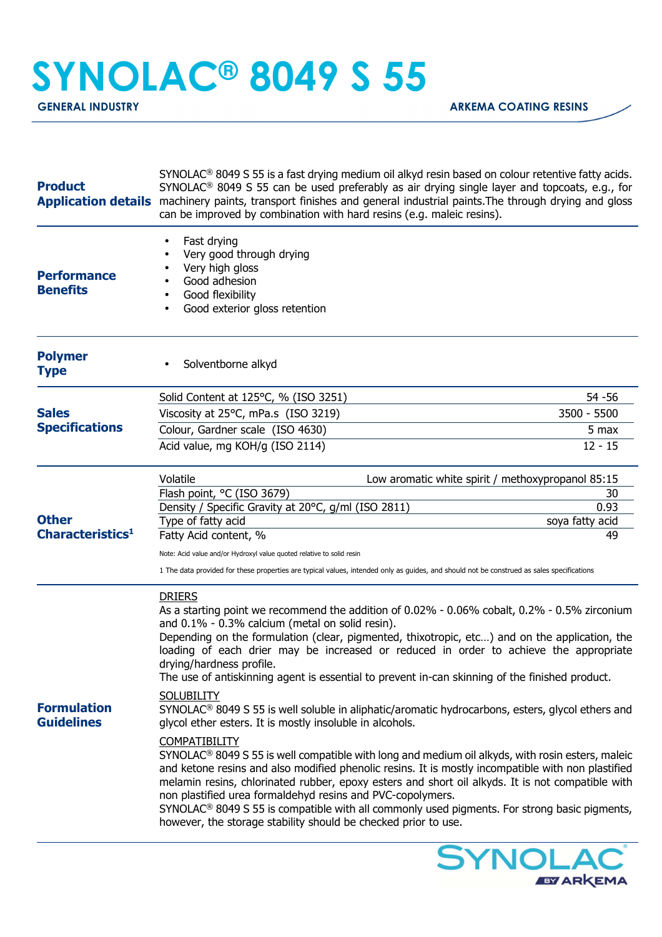## **SYNOLAC® 8049 S 55**

| <b>Product</b><br><b>Application details</b> | SYNOLAC <sup>®</sup> 8049 S 55 is a fast drying medium oil alkyd resin based on colour retentive fatty acids.<br>SYNOLAC <sup>®</sup> 8049 S 55 can be used preferably as air drying single layer and topcoats, e.g., for<br>machinery paints, transport finishes and general industrial paints. The through drying and gloss<br>can be improved by combination with hard resins (e.g. maleic resins).                                                                                                                                                                                                                                                                                                                                                                                                                                                                                                                                                                                                                                                                                                                                                                                                                                                                        |                         |
|----------------------------------------------|-------------------------------------------------------------------------------------------------------------------------------------------------------------------------------------------------------------------------------------------------------------------------------------------------------------------------------------------------------------------------------------------------------------------------------------------------------------------------------------------------------------------------------------------------------------------------------------------------------------------------------------------------------------------------------------------------------------------------------------------------------------------------------------------------------------------------------------------------------------------------------------------------------------------------------------------------------------------------------------------------------------------------------------------------------------------------------------------------------------------------------------------------------------------------------------------------------------------------------------------------------------------------------|-------------------------|
| <b>Performance</b><br><b>Benefits</b>        | Fast drying<br>٠<br>Very good through drying<br>Very high gloss<br>Good adhesion<br>Good flexibility<br>Good exterior gloss retention                                                                                                                                                                                                                                                                                                                                                                                                                                                                                                                                                                                                                                                                                                                                                                                                                                                                                                                                                                                                                                                                                                                                         |                         |
| <b>Polymer</b><br><b>Type</b>                | Solventborne alkyd                                                                                                                                                                                                                                                                                                                                                                                                                                                                                                                                                                                                                                                                                                                                                                                                                                                                                                                                                                                                                                                                                                                                                                                                                                                            |                         |
|                                              | Solid Content at 125°C, % (ISO 3251)                                                                                                                                                                                                                                                                                                                                                                                                                                                                                                                                                                                                                                                                                                                                                                                                                                                                                                                                                                                                                                                                                                                                                                                                                                          | 54 - 56                 |
| <b>Sales</b><br><b>Specifications</b>        | Viscosity at 25°C, mPa.s (ISO 3219)                                                                                                                                                                                                                                                                                                                                                                                                                                                                                                                                                                                                                                                                                                                                                                                                                                                                                                                                                                                                                                                                                                                                                                                                                                           | 3500 - 5500             |
|                                              | Colour, Gardner scale (ISO 4630)                                                                                                                                                                                                                                                                                                                                                                                                                                                                                                                                                                                                                                                                                                                                                                                                                                                                                                                                                                                                                                                                                                                                                                                                                                              | 5 max                   |
|                                              | Acid value, mg KOH/g (ISO 2114)                                                                                                                                                                                                                                                                                                                                                                                                                                                                                                                                                                                                                                                                                                                                                                                                                                                                                                                                                                                                                                                                                                                                                                                                                                               | $12 - 15$               |
|                                              | Volatile<br>Low aromatic white spirit / methoxypropanol 85:15                                                                                                                                                                                                                                                                                                                                                                                                                                                                                                                                                                                                                                                                                                                                                                                                                                                                                                                                                                                                                                                                                                                                                                                                                 |                         |
|                                              | Flash point, °C (ISO 3679)                                                                                                                                                                                                                                                                                                                                                                                                                                                                                                                                                                                                                                                                                                                                                                                                                                                                                                                                                                                                                                                                                                                                                                                                                                                    | 30                      |
| <b>Other</b><br>Characteristics <sup>1</sup> | Density / Specific Gravity at 20°C, g/ml (ISO 2811)<br>Type of fatty acid                                                                                                                                                                                                                                                                                                                                                                                                                                                                                                                                                                                                                                                                                                                                                                                                                                                                                                                                                                                                                                                                                                                                                                                                     | 0.93<br>soya fatty acid |
|                                              | Fatty Acid content, %                                                                                                                                                                                                                                                                                                                                                                                                                                                                                                                                                                                                                                                                                                                                                                                                                                                                                                                                                                                                                                                                                                                                                                                                                                                         | 49                      |
|                                              | Note: Acid value and/or Hydroxyl value quoted relative to solid resin                                                                                                                                                                                                                                                                                                                                                                                                                                                                                                                                                                                                                                                                                                                                                                                                                                                                                                                                                                                                                                                                                                                                                                                                         |                         |
|                                              | 1 The data provided for these properties are typical values, intended only as guides, and should not be construed as sales specifications                                                                                                                                                                                                                                                                                                                                                                                                                                                                                                                                                                                                                                                                                                                                                                                                                                                                                                                                                                                                                                                                                                                                     |                         |
| <b>Formulation</b><br><b>Guidelines</b>      | <b>DRIERS</b><br>As a starting point we recommend the addition of 0.02% - 0.06% cobalt, 0.2% - 0.5% zirconium<br>and 0.1% - 0.3% calcium (metal on solid resin).<br>Depending on the formulation (clear, pigmented, thixotropic, etc) and on the application, the<br>loading of each drier may be increased or reduced in order to achieve the appropriate<br>drying/hardness profile.<br>The use of antiskinning agent is essential to prevent in-can skinning of the finished product.<br><b>SOLUBILITY</b><br>$SYNOLAC®$ 8049 S 55 is well soluble in aliphatic/aromatic hydrocarbons, esters, glycol ethers and<br>glycol ether esters. It is mostly insoluble in alcohols.<br><b>COMPATIBILITY</b><br>SYNOLAC <sup>®</sup> 8049 S 55 is well compatible with long and medium oil alkyds, with rosin esters, maleic<br>and ketone resins and also modified phenolic resins. It is mostly incompatible with non plastified<br>melamin resins, chlorinated rubber, epoxy esters and short oil alkyds. It is not compatible with<br>non plastified urea formaldehyd resins and PVC-copolymers.<br>SYNOLAC <sup>®</sup> 8049 S 55 is compatible with all commonly used pigments. For strong basic pigments,<br>however, the storage stability should be checked prior to use. |                         |